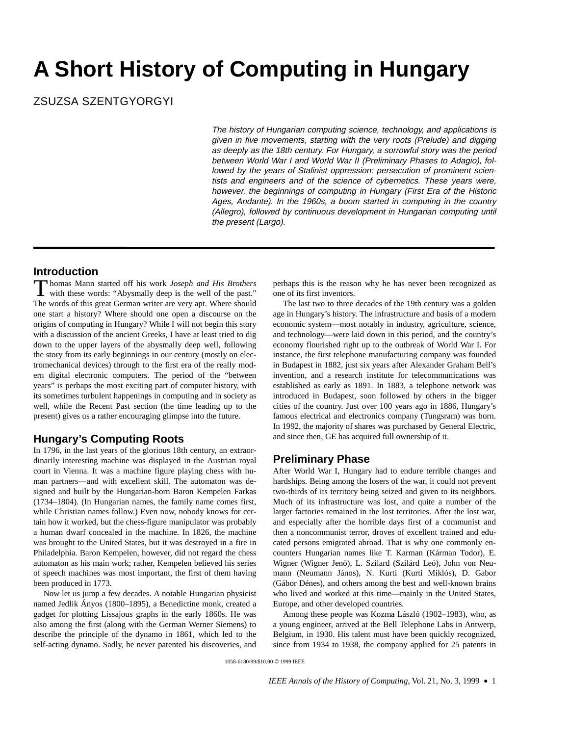ZSUZSA SZENTGYORGYI

The history of Hungarian computing science, technology, and applications is given in five movements, starting with the very roots (Prelude) and digging as deeply as the 18th century. For Hungary, a sorrowful story was the period between World War I and World War II (Preliminary Phases to Adagio), followed by the years of Stalinist oppression: persecution of prominent scientists and engineers and of the science of cybernetics. These years were, however, the beginnings of computing in Hungary (First Era of the Historic Ages, Andante). In the 1960s, a boom started in computing in the country (Allegro), followed by continuous development in Hungarian computing until the present (Largo).

# **Introduction**

Thomas Mann started off his work *Joseph and His Brothers* with these words: "Abysmally deep is the well of the past." with these words: "Abysmally deep is the well of the past." The words of this great German writer are very apt. Where should one start a history? Where should one open a discourse on the origins of computing in Hungary? While I will not begin this story with a discussion of the ancient Greeks, I have at least tried to dig down to the upper layers of the abysmally deep well, following the story from its early beginnings in our century (mostly on electromechanical devices) through to the first era of the really modern digital electronic computers. The period of the "between years" is perhaps the most exciting part of computer history, with its sometimes turbulent happenings in computing and in society as well, while the Recent Past section (the time leading up to the present) gives us a rather encouraging glimpse into the future.

# **Hungary's Computing Roots**

In 1796, in the last years of the glorious 18th century, an extraordinarily interesting machine was displayed in the Austrian royal court in Vienna. It was a machine figure playing chess with human partners—and with excellent skill. The automaton was designed and built by the Hungarian-born Baron Kempelen Farkas (1734–1804). (In Hungarian names, the family name comes first, while Christian names follow.) Even now, nobody knows for certain how it worked, but the chess-figure manipulator was probably a human dwarf concealed in the machine. In 1826, the machine was brought to the United States, but it was destroyed in a fire in Philadelphia. Baron Kempelen, however, did not regard the chess automaton as his main work; rather, Kempelen believed his series of speech machines was most important, the first of them having been produced in 1773.

Now let us jump a few decades. A notable Hungarian physicist named Jedlik Ányos (1800–1895), a Benedictine monk, created a gadget for plotting Lissajous graphs in the early 1860s. He was also among the first (along with the German Werner Siemens) to describe the principle of the dynamo in 1861, which led to the self-acting dynamo. Sadly, he never patented his discoveries, and

perhaps this is the reason why he has never been recognized as one of its first inventors.

The last two to three decades of the 19th century was a golden age in Hungary's history. The infrastructure and basis of a modern economic system—most notably in industry, agriculture, science, and technology—were laid down in this period, and the country's economy flourished right up to the outbreak of World War I. For instance, the first telephone manufacturing company was founded in Budapest in 1882, just six years after Alexander Graham Bell's invention, and a research institute for telecommunications was established as early as 1891. In 1883, a telephone network was introduced in Budapest, soon followed by others in the bigger cities of the country. Just over 100 years ago in 1886, Hungary's famous electrical and electronics company (Tungsram) was born. In 1992, the majority of shares was purchased by General Electric, and since then, GE has acquired full ownership of it.

### **Preliminary Phase**

After World War I, Hungary had to endure terrible changes and hardships. Being among the losers of the war, it could not prevent two-thirds of its territory being seized and given to its neighbors. Much of its infrastructure was lost, and quite a number of the larger factories remained in the lost territories. After the lost war, and especially after the horrible days first of a communist and then a noncommunist terror, droves of excellent trained and educated persons emigrated abroad. That is why one commonly encounters Hungarian names like T. Karman (Kárman Todor), E. Wigner (Wigner Jenö), L. Szilard (Szilárd Leó), John von Neumann (Neumann János), N. Kurti (Kurti Miklós), D. Gabor (Gábor Dénes), and others among the best and well-known brains who lived and worked at this time—mainly in the United States, Europe, and other developed countries.

Among these people was Kozma László (1902–1983), who, as a young engineer, arrived at the Bell Telephone Labs in Antwerp, Belgium, in 1930. His talent must have been quickly recognized, since from 1934 to 1938, the company applied for 25 patents in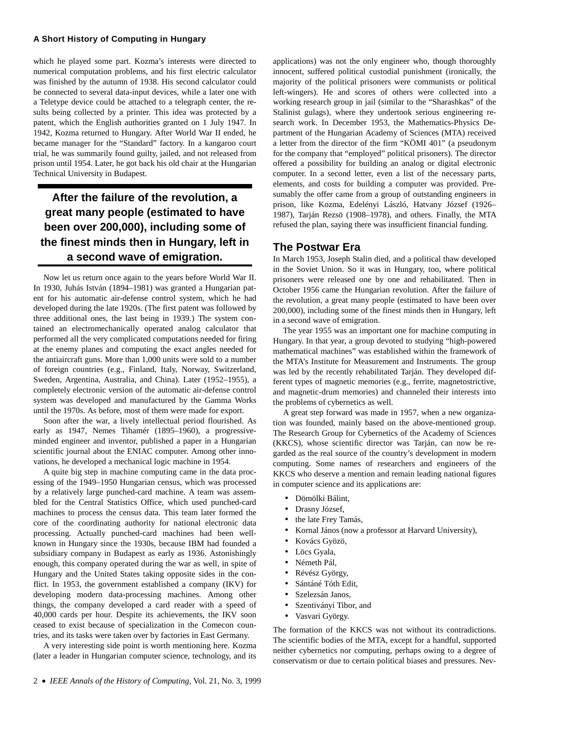which he played some part. Kozma's interests were directed to numerical computation problems, and his first electric calculator was finished by the autumn of 1938. His second calculator could be connected to several data-input devices, while a later one with a Teletype device could be attached to a telegraph center, the results being collected by a printer. This idea was protected by a patent, which the English authorities granted on 1 July 1947. In 1942, Kozma returned to Hungary. After World War II ended, he became manager for the "Standard" factory. In a kangaroo court trial, he was summarily found guilty, jailed, and not released from prison until 1954. Later, he got back his old chair at the Hungarian Technical University in Budapest.

# **After the failure of the revolution, a great many people (estimated to have been over 200,000), including some of the finest minds then in Hungary, left in a second wave of emigration.**

Now let us return once again to the years before World War II. In 1930, Juhás István (1894–1981) was granted a Hungarian patent for his automatic air-defense control system, which he had developed during the late 1920s. (The first patent was followed by three additional ones, the last being in 1939.) The system contained an electromechanically operated analog calculator that performed all the very complicated computations needed for firing at the enemy planes and computing the exact angles needed for the antiaircraft guns. More than 1,000 units were sold to a number of foreign countries (e.g., Finland, Italy, Norway, Switzerland, Sweden, Argentina, Australia, and China). Later (1952–1955), a completely electronic version of the automatic air-defense control system was developed and manufactured by the Gamma Works until the 1970s. As before, most of them were made for export.

Soon after the war, a lively intellectual period flourished. As early as 1947, Nemes Tihamér (1895–1960), a progressiveminded engineer and inventor, published a paper in a Hungarian scientific journal about the ENIAC computer. Among other innovations, he developed a mechanical logic machine in 1954.

A quite big step in machine computing came in the data processing of the 1949–1950 Hungarian census, which was processed by a relatively large punched-card machine. A team was assembled for the Central Statistics Office, which used punched-card machines to process the census data. This team later formed the core of the coordinating authority for national electronic data processing. Actually punched-card machines had been wellknown in Hungary since the 1930s, because IBM had founded a subsidiary company in Budapest as early as 1936. Astonishingly enough, this company operated during the war as well, in spite of Hungary and the United States taking opposite sides in the conflict. In 1953, the government established a company (IKV) for developing modern data-processing machines. Among other things, the company developed a card reader with a speed of 40,000 cards per hour. Despite its achievements, the IKV soon ceased to exist because of specialization in the Comecon countries, and its tasks were taken over by factories in East Germany.

A very interesting side point is worth mentioning here. Kozma (later a leader in Hungarian computer science, technology, and its

applications) was not the only engineer who, though thoroughly innocent, suffered political custodial punishment (ironically, the majority of the political prisoners were communists or political left-wingers). He and scores of others were collected into a working research group in jail (similar to the "Sharashkas" of the Stalinist gulags), where they undertook serious engineering research work. In December 1953, the Mathematics-Physics Department of the Hungarian Academy of Sciences (MTA) received a letter from the director of the firm "KÖMI 401" (a pseudonym for the company that "employed" political prisoners). The director offered a possibility for building an analog or digital electronic computer. In a second letter, even a list of the necessary parts, elements, and costs for building a computer was provided. Presumably the offer came from a group of outstanding engineers in prison, like Kozma, Edelényi László, Hatvany József (1926– 1987), Tarján Rezsö (1908–1978), and others. Finally, the MTA refused the plan, saying there was insufficient financial funding.

### **The Postwar Era**

In March 1953, Joseph Stalin died, and a political thaw developed in the Soviet Union. So it was in Hungary, too, where political prisoners were released one by one and rehabilitated. Then in October 1956 came the Hungarian revolution. After the failure of the revolution, a great many people (estimated to have been over 200,000), including some of the finest minds then in Hungary, left in a second wave of emigration.

The year 1955 was an important one for machine computing in Hungary. In that year, a group devoted to studying "high-powered mathematical machines" was established within the framework of the MTA's Institute for Measurement and Instruments. The group was led by the recently rehabilitated Tarján. They developed different types of magnetic memories (e.g., ferrite, magnetostrictive, and magnetic-drum memories) and channeled their interests into the problems of cybernetics as well.

A great step forward was made in 1957, when a new organization was founded, mainly based on the above-mentioned group. The Research Group for Cybernetics of the Academy of Sciences (KKCS), whose scientific director was Tarján, can now be regarded as the real source of the country's development in modern computing. Some names of researchers and engineers of the KKCS who deserve a mention and remain leading national figures in computer science and its applications are:

- Dömölki Bálint,
- Drasny József,
- the late Frey Tamás,
- Kornal János (now a professor at Harvard University),
- Kovács Gyözö,
- Löcs Gyala,
- Németh Pál,
- Révész György,
- Sántáné Tóth Edit,
- Szelezsán Janos,
- Szentiványi Tibor, and
- Vasvari György.

The formation of the KKCS was not without its contradictions. The scientific bodies of the MTA, except for a handful, supported neither cybernetics nor computing, perhaps owing to a degree of conservatism or due to certain political biases and pressures. Nev-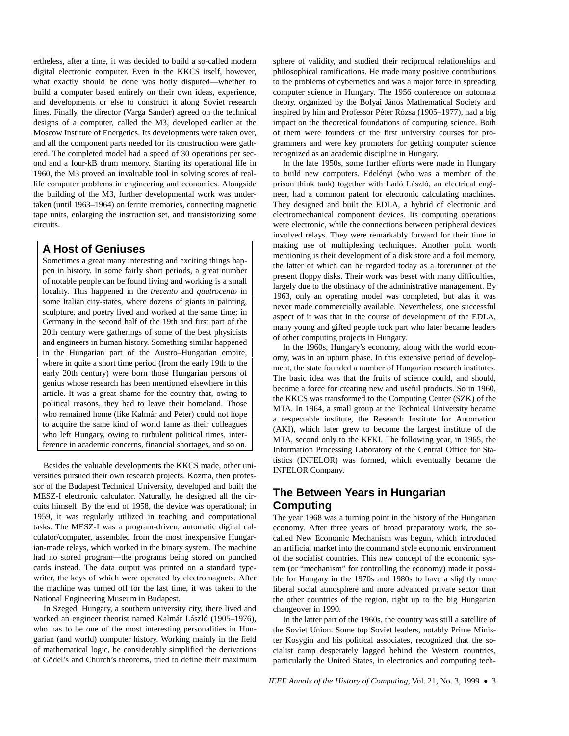ertheless, after a time, it was decided to build a so-called modern digital electronic computer. Even in the KKCS itself, however, what exactly should be done was hotly disputed—whether to build a computer based entirely on their own ideas, experience, and developments or else to construct it along Soviet research lines. Finally, the director (Varga Sánder) agreed on the technical designs of a computer, called the M3, developed earlier at the Moscow Institute of Energetics. Its developments were taken over, and all the component parts needed for its construction were gathered. The completed model had a speed of 30 operations per second and a four-kB drum memory. Starting its operational life in 1960, the M3 proved an invaluable tool in solving scores of reallife computer problems in engineering and economics. Alongside the building of the M3, further developmental work was undertaken (until 1963–1964) on ferrite memories, connecting magnetic tape units, enlarging the instruction set, and transistorizing some circuits.

### **A Host of Geniuses**

Sometimes a great many interesting and exciting things happen in history. In some fairly short periods, a great number of notable people can be found living and working is a small locality. This happened in the *trecento* and *quatrocento* in some Italian city-states, where dozens of giants in painting, sculpture, and poetry lived and worked at the same time; in Germany in the second half of the 19th and first part of the 20th century were gatherings of some of the best physicists and engineers in human history. Something similar happened in the Hungarian part of the Austro–Hungarian empire, where in quite a short time period (from the early 19th to the early 20th century) were born those Hungarian persons of genius whose research has been mentioned elsewhere in this article. It was a great shame for the country that, owing to political reasons, they had to leave their homeland. Those who remained home (like Kalmár and Péter) could not hope to acquire the same kind of world fame as their colleagues who left Hungary, owing to turbulent political times, interference in academic concerns, financial shortages, and so on.

Besides the valuable developments the KKCS made, other universities pursued their own research projects. Kozma, then professor of the Budapest Technical University, developed and built the MESZ-I electronic calculator. Naturally, he designed all the circuits himself. By the end of 1958, the device was operational; in 1959, it was regularly utilized in teaching and computational tasks. The MESZ-I was a program-driven, automatic digital calculator/computer, assembled from the most inexpensive Hungarian-made relays, which worked in the binary system. The machine had no stored program—the programs being stored on punched cards instead. The data output was printed on a standard typewriter, the keys of which were operated by electromagnets. After the machine was turned off for the last time, it was taken to the National Engineering Museum in Budapest.

In Szeged, Hungary, a southern university city, there lived and worked an engineer theorist named Kalmár László (1905–1976), who has to be one of the most interesting personalities in Hungarian (and world) computer history. Working mainly in the field of mathematical logic, he considerably simplified the derivations of Gödel's and Church's theorems, tried to define their maximum

sphere of validity, and studied their reciprocal relationships and philosophical ramifications. He made many positive contributions to the problems of cybernetics and was a major force in spreading computer science in Hungary. The 1956 conference on automata theory, organized by the Bolyai János Mathematical Society and inspired by him and Professor Péter Rózsa (1905–1977), had a big impact on the theoretical foundations of computing science. Both of them were founders of the first university courses for programmers and were key promoters for getting computer science recognized as an academic discipline in Hungary.

In the late 1950s, some further efforts were made in Hungary to build new computers. Edelényi (who was a member of the prison think tank) together with Ladó László*,* an electrical engineer, had a common patent for electronic calculating machines. They designed and built the EDLA, a hybrid of electronic and electromechanical component devices. Its computing operations were electronic, while the connections between peripheral devices involved relays. They were remarkably forward for their time in making use of multiplexing techniques. Another point worth mentioning is their development of a disk store and a foil memory, the latter of which can be regarded today as a forerunner of the present floppy disks. Their work was beset with many difficulties, largely due to the obstinacy of the administrative management. By 1963, only an operating model was completed, but alas it was never made commercially available. Nevertheless, one successful aspect of it was that in the course of development of the EDLA, many young and gifted people took part who later became leaders of other computing projects in Hungary.

In the 1960s, Hungary's economy, along with the world economy, was in an upturn phase. In this extensive period of development, the state founded a number of Hungarian research institutes. The basic idea was that the fruits of science could, and should, become a force for creating new and useful products. So in 1960, the KKCS was transformed to the Computing Center (SZK) of the MTA. In 1964, a small group at the Technical University became a respectable institute, the Research Institute for Automation (AKI), which later grew to become the largest institute of the MTA, second only to the KFKI. The following year, in 1965, the Information Processing Laboratory of the Central Office for Statistics (INFELOR) was formed, which eventually became the INFELOR Company.

# **The Between Years in Hungarian Computing**

The year 1968 was a turning point in the history of the Hungarian economy. After three years of broad preparatory work, the socalled New Economic Mechanism was begun, which introduced an artificial market into the command style economic environment of the socialist countries. This new concept of the economic system (or "mechanism" for controlling the economy) made it possible for Hungary in the 1970s and 1980s to have a slightly more liberal social atmosphere and more advanced private sector than the other countries of the region, right up to the big Hungarian changeover in 1990.

In the latter part of the 1960s, the country was still a satellite of the Soviet Union. Some top Soviet leaders, notably Prime Minister Kosygin and his political associates, recognized that the socialist camp desperately lagged behind the Western countries, particularly the United States, in electronics and computing tech-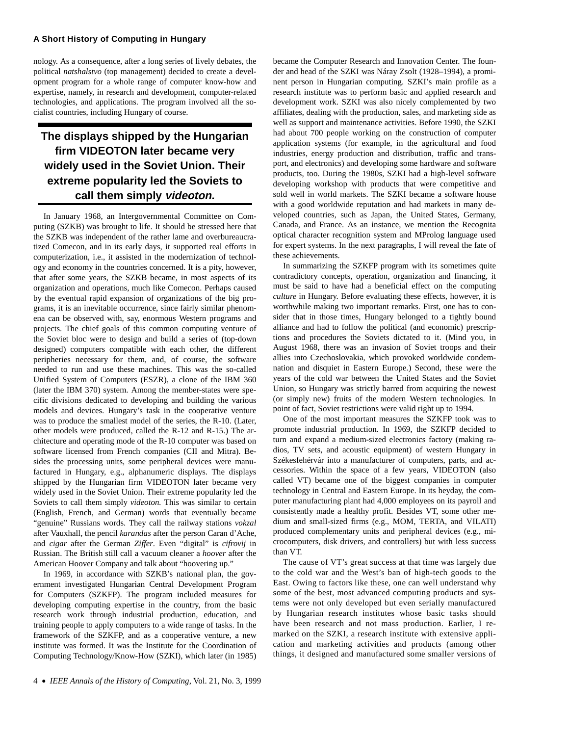nology. As a consequence, after a long series of lively debates, the political *natshalstvo* (top management) decided to create a development program for a whole range of computer know-how and expertise, namely, in research and development, computer-related technologies, and applications. The program involved all the socialist countries, including Hungary of course.

# **The displays shipped by the Hungarian firm VIDEOTON later became very widely used in the Soviet Union. Their extreme popularity led the Soviets to call them simply videoton.**

In January 1968, an Intergovernmental Committee on Computing (SZKB) was brought to life. It should be stressed here that the SZKB was independent of the rather lame and overbureaucratized Comecon, and in its early days, it supported real efforts in computerization, i.e., it assisted in the modernization of technology and economy in the countries concerned. It is a pity, however, that after some years, the SZKB became, in most aspects of its organization and operations, much like Comecon. Perhaps caused by the eventual rapid expansion of organizations of the big programs, it is an inevitable occurrence, since fairly similar phenomena can be observed with, say, enormous Western programs and projects. The chief goals of this common computing venture of the Soviet bloc were to design and build a series of (top-down designed) computers compatible with each other, the different peripheries necessary for them, and, of course, the software needed to run and use these machines. This was the so-called Unified System of Computers (ESZR), a clone of the IBM 360 (later the IBM 370) system. Among the member-states were specific divisions dedicated to developing and building the various models and devices. Hungary's task in the cooperative venture was to produce the smallest model of the series, the R-10. (Later, other models were produced, called the R-12 and R-15.) The architecture and operating mode of the R-10 computer was based on software licensed from French companies (CII and Mitra). Besides the processing units, some peripheral devices were manufactured in Hungary, e.g., alphanumeric displays. The displays shipped by the Hungarian firm VIDEOTON later became very widely used in the Soviet Union. Their extreme popularity led the Soviets to call them simply *videoton*. This was similar to certain (English, French, and German) words that eventually became "genuine" Russians words. They call the railway stations *vokzal* after Vauxhall, the pencil *karandas* after the person Caran d'Ache, and *cigar* after the German *Ziffer*. Even "digital" is *cifrovij* in Russian. The British still call a vacuum cleaner a *hoover* after the American Hoover Company and talk about "hoovering up."

In 1969, in accordance with SZKB's national plan, the government investigated Hungarian Central Development Program for Computers (SZKFP). The program included measures for developing computing expertise in the country, from the basic research work through industrial production, education, and training people to apply computers to a wide range of tasks. In the framework of the SZKFP, and as a cooperative venture, a new institute was formed. It was the Institute for the Coordination of Computing Technology/Know-How (SZKI), which later (in 1985)

became the Computer Research and Innovation Center. The founder and head of the SZKI was Náray Zsolt (1928–1994), a prominent person in Hungarian computing. SZKI's main profile as a research institute was to perform basic and applied research and development work. SZKI was also nicely complemented by two affiliates, dealing with the production, sales, and marketing side as well as support and maintenance activities. Before 1990, the SZKI had about 700 people working on the construction of computer application systems (for example, in the agricultural and food industries, energy production and distribution, traffic and transport, and electronics) and developing some hardware and software products, too. During the 1980s, SZKI had a high-level software developing workshop with products that were competitive and sold well in world markets. The SZKI became a software house with a good worldwide reputation and had markets in many developed countries, such as Japan, the United States, Germany, Canada, and France. As an instance, we mention the Recognita optical character recognition system and MProlog language used for expert systems. In the next paragraphs, I will reveal the fate of these achievements.

In summarizing the SZKFP program with its sometimes quite contradictory concepts, operation, organization and financing, it must be said to have had a beneficial effect on the computing *culture* in Hungary. Before evaluating these effects, however, it is worthwhile making two important remarks. First, one has to consider that in those times, Hungary belonged to a tightly bound alliance and had to follow the political (and economic) prescriptions and procedures the Soviets dictated to it. (Mind you, in August 1968, there was an invasion of Soviet troops and their allies into Czechoslovakia, which provoked worldwide condemnation and disquiet in Eastern Europe.) Second, these were the years of the cold war between the United States and the Soviet Union, so Hungary was strictly barred from acquiring the newest (or simply new) fruits of the modern Western technologies. In point of fact, Soviet restrictions were valid right up to 1994.

One of the most important measures the SZKFP took was to promote industrial production. In 1969, the SZKFP decided to turn and expand a medium-sized electronics factory (making radios, TV sets, and acoustic equipment) of western Hungary in Székesfehérvár into a manufacturer of computers, parts, and accessories. Within the space of a few years, VIDEOTON (also called VT) became one of the biggest companies in computer technology in Central and Eastern Europe. In its heyday, the computer manufacturing plant had 4,000 employees on its payroll and consistently made a healthy profit. Besides VT, some other medium and small-sized firms (e.g., MOM, TERTA, and VILATI) produced complementary units and peripheral devices (e.g., microcomputers, disk drivers, and controllers) but with less success than VT.

The cause of VT's great success at that time was largely due to the cold war and the West's ban of high-tech goods to the East. Owing to factors like these, one can well understand why some of the best, most advanced computing products and systems were not only developed but even serially manufactured by Hungarian research institutes whose basic tasks should have been research and not mass production. Earlier, I remarked on the SZKI, a research institute with extensive application and marketing activities and products (among other things, it designed and manufactured some smaller versions of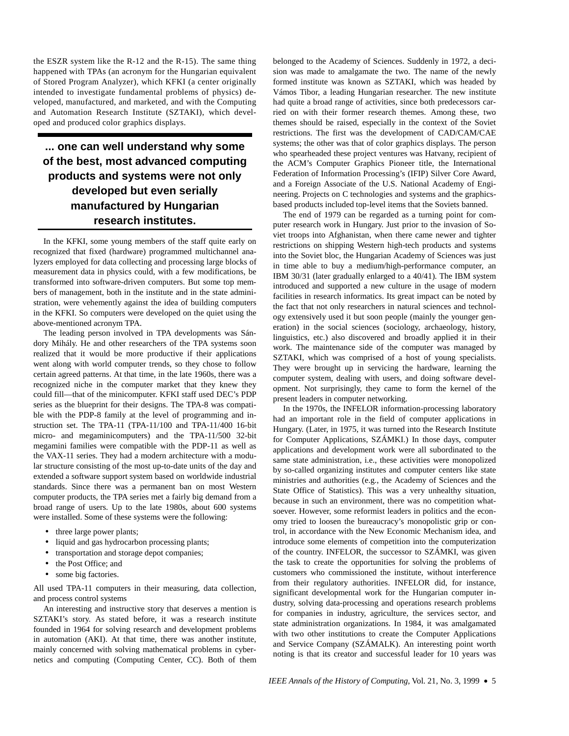the ESZR system like the R-12 and the R-15). The same thing happened with TPAs (an acronym for the Hungarian equivalent of Stored Program Analyzer), which KFKI (a center originally intended to investigate fundamental problems of physics) developed, manufactured, and marketed, and with the Computing and Automation Research Institute (SZTAKI), which developed and produced color graphics displays.

# **... one can well understand why some of the best, most advanced computing products and systems were not only developed but even serially manufactured by Hungarian research institutes.**

In the KFKI, some young members of the staff quite early on recognized that fixed (hardware) programmed multichannel analyzers employed for data collecting and processing large blocks of measurement data in physics could, with a few modifications, be transformed into software-driven computers. But some top members of management, both in the institute and in the state administration, were vehemently against the idea of building computers in the KFKI. So computers were developed on the quiet using the above-mentioned acronym TPA.

The leading person involved in TPA developments was Sándory Mihály. He and other researchers of the TPA systems soon realized that it would be more productive if their applications went along with world computer trends, so they chose to follow certain agreed patterns. At that time, in the late 1960s, there was a recognized niche in the computer market that they knew they could fill—that of the minicomputer. KFKI staff used DEC's PDP series as the blueprint for their designs. The TPA-8 was compatible with the PDP-8 family at the level of programming and instruction set. The TPA-11 (TPA-11/100 and TPA-11/400 16-bit micro- and megaminicomputers) and the TPA-11/500 32-bit megamini families were compatible with the PDP-11 as well as the VAX-11 series. They had a modern architecture with a modular structure consisting of the most up-to-date units of the day and extended a software support system based on worldwide industrial standards. Since there was a permanent ban on most Western computer products, the TPA series met a fairly big demand from a broad range of users. Up to the late 1980s, about 600 systems were installed. Some of these systems were the following:

- three large power plants;
- liquid and gas hydrocarbon processing plants;
- transportation and storage depot companies;
- the Post Office; and
- some big factories.

All used TPA-11 computers in their measuring, data collection, and process control systems

An interesting and instructive story that deserves a mention is SZTAKI's story. As stated before, it was a research institute founded in 1964 for solving research and development problems in automation (AKI). At that time, there was another institute, mainly concerned with solving mathematical problems in cybernetics and computing (Computing Center, CC). Both of them

belonged to the Academy of Sciences. Suddenly in 1972, a decision was made to amalgamate the two. The name of the newly formed institute was known as SZTAKI, which was headed by Vámos Tibor, a leading Hungarian researcher. The new institute had quite a broad range of activities, since both predecessors carried on with their former research themes. Among these, two themes should be raised, especially in the context of the Soviet restrictions. The first was the development of CAD/CAM/CAE systems; the other was that of color graphics displays. The person who spearheaded these project ventures was Hatvany, recipient of the ACM's Computer Graphics Pioneer title, the International Federation of Information Processing's (IFIP) Silver Core Award, and a Foreign Associate of the U.S. National Academy of Engineering. Projects on C technologies and systems and the graphicsbased products included top-level items that the Soviets banned.

The end of 1979 can be regarded as a turning point for computer research work in Hungary. Just prior to the invasion of Soviet troops into Afghanistan, when there came newer and tighter restrictions on shipping Western high-tech products and systems into the Soviet bloc, the Hungarian Academy of Sciences was just in time able to buy a medium/high-performance computer, an IBM 30/31 (later gradually enlarged to a 40/41). The IBM system introduced and supported a new culture in the usage of modern facilities in research informatics. Its great impact can be noted by the fact that not only researchers in natural sciences and technology extensively used it but soon people (mainly the younger generation) in the social sciences (sociology, archaeology, history, linguistics, etc.) also discovered and broadly applied it in their work. The maintenance side of the computer was managed by SZTAKI, which was comprised of a host of young specialists. They were brought up in servicing the hardware, learning the computer system, dealing with users, and doing software development. Not surprisingly, they came to form the kernel of the present leaders in computer networking.

In the 1970s, the INFELOR information-processing laboratory had an important role in the field of computer applications in Hungary. (Later, in 1975, it was turned into the Research Institute for Computer Applications, SZÁMKI.) In those days, computer applications and development work were all subordinated to the same state administration, i.e., these activities were monopolized by so-called organizing institutes and computer centers like state ministries and authorities (e.g., the Academy of Sciences and the State Office of Statistics). This was a very unhealthy situation, because in such an environment, there was no competition whatsoever. However, some reformist leaders in politics and the economy tried to loosen the bureaucracy's monopolistic grip or control, in accordance with the New Economic Mechanism idea, and introduce some elements of competition into the computerization of the country. INFELOR, the successor to SZÁMKI, was given the task to create the opportunities for solving the problems of customers who commissioned the institute, without interference from their regulatory authorities. INFELOR did, for instance, significant developmental work for the Hungarian computer industry, solving data-processing and operations research problems for companies in industry, agriculture, the services sector, and state administration organizations. In 1984, it was amalgamated with two other institutions to create the Computer Applications and Service Company (SZÁMALK). An interesting point worth noting is that its creator and successful leader for 10 years was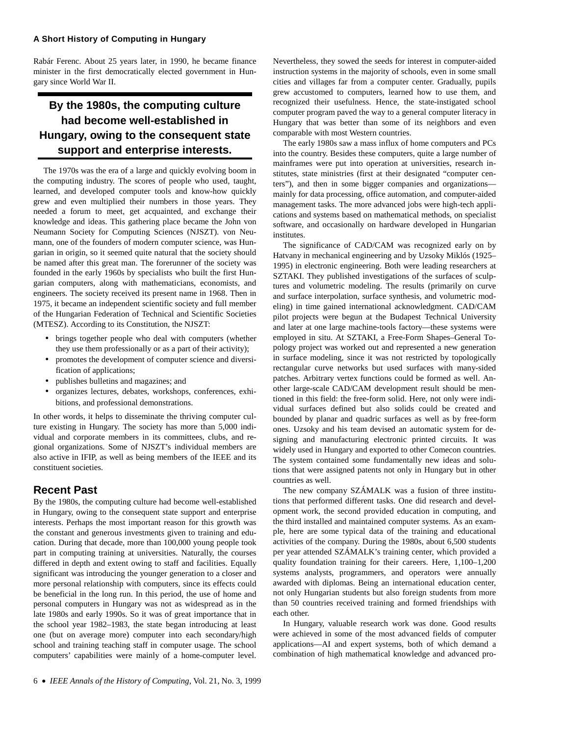Rabár Ferenc. About 25 years later, in 1990, he became finance minister in the first democratically elected government in Hungary since World War II.

# **By the 1980s, the computing culture had become well-established in Hungary, owing to the consequent state support and enterprise interests.**

The 1970s was the era of a large and quickly evolving boom in the computing industry. The scores of people who used, taught, learned, and developed computer tools and know-how quickly grew and even multiplied their numbers in those years. They needed a forum to meet, get acquainted, and exchange their knowledge and ideas. This gathering place became the John von Neumann Society for Computing Sciences (NJSZT). von Neumann, one of the founders of modern computer science, was Hungarian in origin, so it seemed quite natural that the society should be named after this great man. The forerunner of the society was founded in the early 1960s by specialists who built the first Hungarian computers, along with mathematicians, economists, and engineers. The society received its present name in 1968. Then in 1975, it became an independent scientific society and full member of the Hungarian Federation of Technical and Scientific Societies (MTESZ). According to its Constitution, the NJSZT:

- brings together people who deal with computers (whether they use them professionally or as a part of their activity);
- promotes the development of computer science and diversification of applications;
- publishes bulletins and magazines; and
- organizes lectures, debates, workshops, conferences, exhibitions, and professional demonstrations.

In other words, it helps to disseminate the thriving computer culture existing in Hungary. The society has more than 5,000 individual and corporate members in its committees, clubs, and regional organizations. Some of NJSZT's individual members are also active in IFIP, as well as being members of the IEEE and its constituent societies.

### **Recent Past**

By the 1980s, the computing culture had become well-established in Hungary, owing to the consequent state support and enterprise interests. Perhaps the most important reason for this growth was the constant and generous investments given to training and education. During that decade, more than 100,000 young people took part in computing training at universities. Naturally, the courses differed in depth and extent owing to staff and facilities. Equally significant was introducing the younger generation to a closer and more personal relationship with computers, since its effects could be beneficial in the long run. In this period, the use of home and personal computers in Hungary was not as widespread as in the late 1980s and early 1990s. So it was of great importance that in the school year 1982–1983, the state began introducing at least one (but on average more) computer into each secondary/high school and training teaching staff in computer usage. The school computers' capabilities were mainly of a home-computer level.

Nevertheless, they sowed the seeds for interest in computer-aided instruction systems in the majority of schools, even in some small cities and villages far from a computer center. Gradually, pupils grew accustomed to computers, learned how to use them, and recognized their usefulness. Hence, the state-instigated school computer program paved the way to a general computer literacy in Hungary that was better than some of its neighbors and even comparable with most Western countries.

The early 1980s saw a mass influx of home computers and PCs into the country. Besides these computers, quite a large number of mainframes were put into operation at universities, research institutes, state ministries (first at their designated "computer centers"), and then in some bigger companies and organizations mainly for data processing, office automation, and computer-aided management tasks. The more advanced jobs were high-tech applications and systems based on mathematical methods, on specialist software, and occasionally on hardware developed in Hungarian institutes.

The significance of CAD/CAM was recognized early on by Hatvany in mechanical engineering and by Uzsoky Miklós (1925– 1995) in electronic engineering. Both were leading researchers at SZTAKI. They published investigations of the surfaces of sculptures and volumetric modeling. The results (primarily on curve and surface interpolation, surface synthesis, and volumetric modeling) in time gained international acknowledgment. CAD/CAM pilot projects were begun at the Budapest Technical University and later at one large machine-tools factory—these systems were employed in situ. At SZTAKI, a Free-Form Shapes–General Topology project was worked out and represented a new generation in surface modeling, since it was not restricted by topologically rectangular curve networks but used surfaces with many-sided patches. Arbitrary vertex functions could be formed as well. Another large-scale CAD/CAM development result should be mentioned in this field: the free-form solid. Here, not only were individual surfaces defined but also solids could be created and bounded by planar and quadric surfaces as well as by free-form ones. Uzsoky and his team devised an automatic system for designing and manufacturing electronic printed circuits. It was widely used in Hungary and exported to other Comecon countries. The system contained some fundamentally new ideas and solutions that were assigned patents not only in Hungary but in other countries as well.

The new company SZÁMALK was a fusion of three institutions that performed different tasks. One did research and development work, the second provided education in computing, and the third installed and maintained computer systems. As an example, here are some typical data of the training and educational activities of the company. During the 1980s, about 6,500 students per year attended SZÁMALK's training center, which provided a quality foundation training for their careers. Here, 1,100–1,200 systems analysts, programmers, and operators were annually awarded with diplomas. Being an international education center, not only Hungarian students but also foreign students from more than 50 countries received training and formed friendships with each other.

In Hungary, valuable research work was done. Good results were achieved in some of the most advanced fields of computer applications—AI and expert systems, both of which demand a combination of high mathematical knowledge and advanced pro-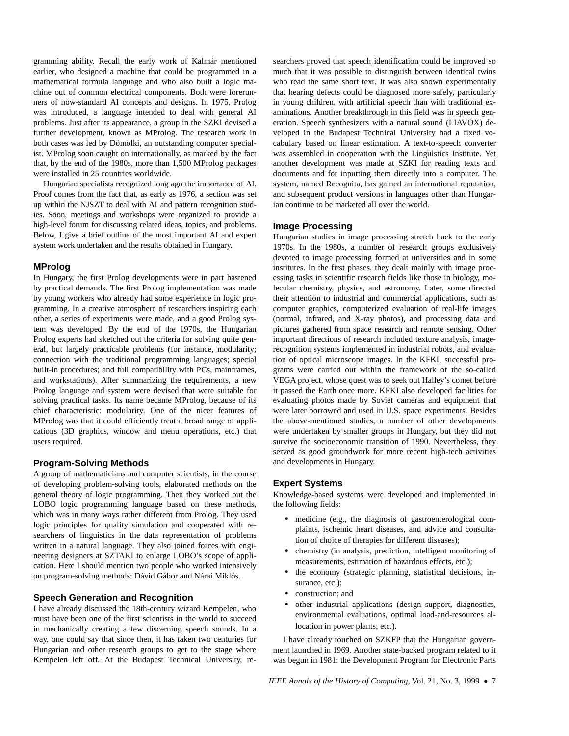gramming ability. Recall the early work of Kalmár mentioned earlier, who designed a machine that could be programmed in a mathematical formula language and who also built a logic machine out of common electrical components. Both were forerunners of now-standard AI concepts and designs. In 1975, Prolog was introduced, a language intended to deal with general AI problems. Just after its appearance, a group in the SZKI devised a further development, known as MProlog. The research work in both cases was led by Dömölki, an outstanding computer specialist. MProlog soon caught on internationally, as marked by the fact that, by the end of the 1980s, more than 1,500 MProlog packages were installed in 25 countries worldwide.

Hungarian specialists recognized long ago the importance of AI. Proof comes from the fact that, as early as 1976, a section was set up within the NJSZT to deal with AI and pattern recognition studies. Soon, meetings and workshops were organized to provide a high-level forum for discussing related ideas, topics, and problems. Below, I give a brief outline of the most important AI and expert system work undertaken and the results obtained in Hungary.

#### **MProlog**

In Hungary, the first Prolog developments were in part hastened by practical demands. The first Prolog implementation was made by young workers who already had some experience in logic programming. In a creative atmosphere of researchers inspiring each other, a series of experiments were made, and a good Prolog system was developed. By the end of the 1970s, the Hungarian Prolog experts had sketched out the criteria for solving quite general, but largely practicable problems (for instance, modularity; connection with the traditional programming languages; special built-in procedures; and full compatibility with PCs, mainframes, and workstations). After summarizing the requirements, a new Prolog language and system were devised that were suitable for solving practical tasks. Its name became MProlog, because of its chief characteristic: modularity*.* One of the nicer features of MProlog was that it could efficiently treat a broad range of applications (3D graphics, window and menu operations, etc.) that users required.

#### **Program-Solving Methods**

A group of mathematicians and computer scientists, in the course of developing problem-solving tools, elaborated methods on the general theory of logic programming. Then they worked out the LOBO logic programming language based on these methods, which was in many ways rather different from Prolog. They used logic principles for quality simulation and cooperated with researchers of linguistics in the data representation of problems written in a natural language. They also joined forces with engineering designers at SZTAKI to enlarge LOBO's scope of application. Here I should mention two people who worked intensively on program-solving methods: Dávid Gábor and Nárai Miklós.

#### **Speech Generation and Recognition**

I have already discussed the 18th-century wizard Kempelen, who must have been one of the first scientists in the world to succeed in mechanically creating a few discerning speech sounds. In a way, one could say that since then, it has taken two centuries for Hungarian and other research groups to get to the stage where Kempelen left off. At the Budapest Technical University, re-

searchers proved that speech identification could be improved so much that it was possible to distinguish between identical twins who read the same short text. It was also shown experimentally that hearing defects could be diagnosed more safely, particularly in young children, with artificial speech than with traditional examinations. Another breakthrough in this field was in speech generation. Speech synthesizers with a natural sound (LIAVOX) developed in the Budapest Technical University had a fixed vocabulary based on linear estimation. A text-to-speech converter was assembled in cooperation with the Linguistics Institute. Yet another development was made at SZKI for reading texts and documents and for inputting them directly into a computer. The system, named Recognita, has gained an international reputation, and subsequent product versions in languages other than Hungarian continue to be marketed all over the world.

#### **Image Processing**

Hungarian studies in image processing stretch back to the early 1970s. In the 1980s, a number of research groups exclusively devoted to image processing formed at universities and in some institutes. In the first phases, they dealt mainly with image processing tasks in scientific research fields like those in biology, molecular chemistry, physics, and astronomy. Later, some directed their attention to industrial and commercial applications, such as computer graphics, computerized evaluation of real-life images (normal, infrared, and X-ray photos), and processing data and pictures gathered from space research and remote sensing. Other important directions of research included texture analysis, imagerecognition systems implemented in industrial robots, and evaluation of optical microscope images. In the KFKI, successful programs were carried out within the framework of the so-called VEGA project, whose quest was to seek out Halley's comet before it passed the Earth once more. KFKI also developed facilities for evaluating photos made by Soviet cameras and equipment that were later borrowed and used in U.S. space experiments. Besides the above-mentioned studies, a number of other developments were undertaken by smaller groups in Hungary, but they did not survive the socioeconomic transition of 1990. Nevertheless, they served as good groundwork for more recent high-tech activities and developments in Hungary.

#### **Expert Systems**

Knowledge-based systems were developed and implemented in the following fields:

- medicine (e.g., the diagnosis of gastroenterological complaints, ischemic heart diseases, and advice and consultation of choice of therapies for different diseases);
- chemistry (in analysis, prediction, intelligent monitoring of measurements, estimation of hazardous effects, etc.);
- the economy (strategic planning, statistical decisions, insurance, etc.);
- construction; and
- other industrial applications (design support, diagnostics, environmental evaluations, optimal load-and-resources allocation in power plants, etc.).

I have already touched on SZKFP that the Hungarian government launched in 1969. Another state-backed program related to it was begun in 1981: the Development Program for Electronic Parts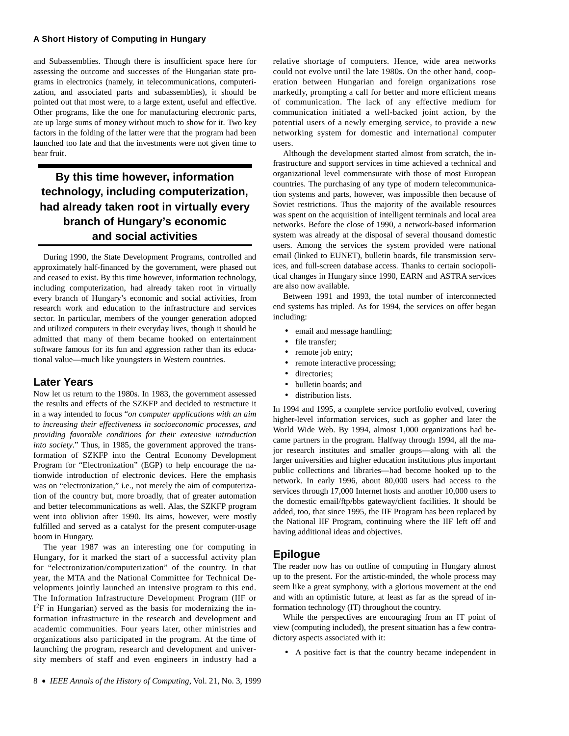and Subassemblies. Though there is insufficient space here for assessing the outcome and successes of the Hungarian state programs in electronics (namely, in telecommunications, computerization, and associated parts and subassemblies), it should be pointed out that most were, to a large extent, useful and effective. Other programs, like the one for manufacturing electronic parts, ate up large sums of money without much to show for it. Two key factors in the folding of the latter were that the program had been launched too late and that the investments were not given time to bear fruit.

# **By this time however, information technology, including computerization, had already taken root in virtually every branch of Hungary's economic and social activities**

During 1990, the State Development Programs, controlled and approximately half-financed by the government, were phased out and ceased to exist. By this time however, information technology, including computerization, had already taken root in virtually every branch of Hungary's economic and social activities, from research work and education to the infrastructure and services sector. In particular, members of the younger generation adopted and utilized computers in their everyday lives, though it should be admitted that many of them became hooked on entertainment software famous for its fun and aggression rather than its educational value—much like youngsters in Western countries.

## **Later Years**

Now let us return to the 1980s. In 1983, the government assessed the results and effects of the SZKFP and decided to restructure it in a way intended to focus "*on computer applications with an aim to increasing their effectiveness in socioeconomic processes, and providing favorable conditions for their extensive introduction into society*." Thus, in 1985, the government approved the transformation of SZKFP into the Central Economy Development Program for "Electronization" (EGP) to help encourage the nationwide introduction of electronic devices. Here the emphasis was on "electronization," i.e., not merely the aim of computerization of the country but, more broadly, that of greater automation and better telecommunications as well. Alas, the SZKFP program went into oblivion after 1990. Its aims, however, were mostly fulfilled and served as a catalyst for the present computer-usage boom in Hungary.

The year 1987 was an interesting one for computing in Hungary, for it marked the start of a successful activity plan for "electronization/computerization" of the country. In that year, the MTA and the National Committee for Technical Developments jointly launched an intensive program to this end. The Information Infrastructure Development Program (IIF or  $I^2$ F in Hungarian) served as the basis for modernizing the information infrastructure in the research and development and academic communities. Four years later, other ministries and organizations also participated in the program. At the time of launching the program, research and development and university members of staff and even engineers in industry had a

8 *IEEE Annals of the History of Computing*, Vol. 21, No. 3, 1999

relative shortage of computers. Hence, wide area networks could not evolve until the late 1980s. On the other hand, cooperation between Hungarian and foreign organizations rose markedly, prompting a call for better and more efficient means of communication. The lack of any effective medium for communication initiated a well-backed joint action, by the potential users of a newly emerging service, to provide a new networking system for domestic and international computer users.

Although the development started almost from scratch, the infrastructure and support services in time achieved a technical and organizational level commensurate with those of most European countries. The purchasing of any type of modern telecommunication systems and parts, however, was impossible then because of Soviet restrictions. Thus the majority of the available resources was spent on the acquisition of intelligent terminals and local area networks. Before the close of 1990, a network-based information system was already at the disposal of several thousand domestic users. Among the services the system provided were national email (linked to EUNET), bulletin boards, file transmission services, and full-screen database access. Thanks to certain sociopolitical changes in Hungary since 1990, EARN and ASTRA services are also now available.

Between 1991 and 1993, the total number of interconnected end systems has tripled. As for 1994, the services on offer began including:

- email and message handling;
- file transfer;
- remote job entry;
- remote interactive processing;
- directories;
- bulletin boards; and
- distribution lists.

In 1994 and 1995, a complete service portfolio evolved, covering higher-level information services, such as gopher and later the World Wide Web. By 1994, almost 1,000 organizations had became partners in the program. Halfway through 1994, all the major research institutes and smaller groups—along with all the larger universities and higher education institutions plus important public collections and libraries—had become hooked up to the network. In early 1996, about 80,000 users had access to the services through 17,000 Internet hosts and another 10,000 users to the domestic email/ftp/bbs gateway/client facilities. It should be added, too, that since 1995, the IIF Program has been replaced by the National IIF Program, continuing where the IIF left off and having additional ideas and objectives.

### **Epilogue**

The reader now has on outline of computing in Hungary almost up to the present. For the artistic-minded, the whole process may seem like a great symphony, with a glorious movement at the end and with an optimistic future, at least as far as the spread of information technology (IT) throughout the country.

While the perspectives are encouraging from an IT point of view (computing included), the present situation has a few contradictory aspects associated with it:

• A positive fact is that the country became independent in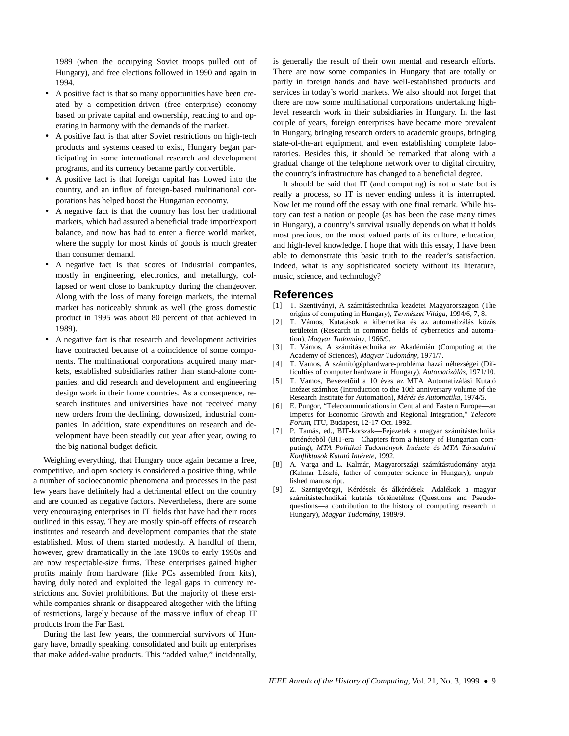1989 (when the occupying Soviet troops pulled out of Hungary), and free elections followed in 1990 and again in 1994.

- A positive fact is that so many opportunities have been created by a competition-driven (free enterprise) economy based on private capital and ownership, reacting to and operating in harmony with the demands of the market.
- A positive fact is that after Soviet restrictions on high-tech products and systems ceased to exist, Hungary began participating in some international research and development programs, and its currency became partly convertible.
- A positive fact is that foreign capital has flowed into the country, and an influx of foreign-based multinational corporations has helped boost the Hungarian economy.
- A negative fact is that the country has lost her traditional markets, which had assured a beneficial trade import/export balance, and now has had to enter a fierce world market, where the supply for most kinds of goods is much greater than consumer demand.
- A negative fact is that scores of industrial companies, mostly in engineering, electronics, and metallurgy, collapsed or went close to bankruptcy during the changeover. Along with the loss of many foreign markets, the internal market has noticeably shrunk as well (the gross domestic product in 1995 was about 80 percent of that achieved in 1989).
- A negative fact is that research and development activities have contracted because of a coincidence of some components. The multinational corporations acquired many markets, established subsidiaries rather than stand-alone companies, and did research and development and engineering design work in their home countries. As a consequence, research institutes and universities have not received many new orders from the declining, downsized, industrial companies. In addition, state expenditures on research and development have been steadily cut year after year, owing to the big national budget deficit.

Weighing everything, that Hungary once again became a free, competitive, and open society is considered a positive thing, while a number of socioeconomic phenomena and processes in the past few years have definitely had a detrimental effect on the country and are counted as negative factors. Nevertheless, there are some very encouraging enterprises in IT fields that have had their roots outlined in this essay. They are mostly spin-off effects of research institutes and research and development companies that the state established. Most of them started modestly. A handful of them, however, grew dramatically in the late 1980s to early 1990s and are now respectable-size firms. These enterprises gained higher profits mainly from hardware (like PCs assembled from kits), having duly noted and exploited the legal gaps in currency restrictions and Soviet prohibitions. But the majority of these erstwhile companies shrank or disappeared altogether with the lifting of restrictions, largely because of the massive influx of cheap IT products from the Far East.

During the last few years, the commercial survivors of Hungary have, broadly speaking, consolidated and built up enterprises that make added-value products. This "added value," incidentally,

is generally the result of their own mental and research efforts. There are now some companies in Hungary that are totally or partly in foreign hands and have well-established products and services in today's world markets. We also should not forget that there are now some multinational corporations undertaking highlevel research work in their subsidiaries in Hungary. In the last couple of years, foreign enterprises have became more prevalent in Hungary, bringing research orders to academic groups, bringing state-of-the-art equipment, and even establishing complete laboratories. Besides this, it should be remarked that along with a gradual change of the telephone network over to digital circuitry, the country's infrastructure has changed to a beneficial degree.

It should be said that IT (and computing) is not a state but is really a process, so IT is never ending unless it is interrupted. Now let me round off the essay with one final remark. While history can test a nation or people (as has been the case many times in Hungary), a country's survival usually depends on what it holds most precious, on the most valued parts of its culture, education, and high-level knowledge. I hope that with this essay, I have been able to demonstrate this basic truth to the reader's satisfaction. Indeed, what is any sophisticated society without its literature, music, science, and technology?

#### **References**

- [1] T. Szentiványi, A számitástechnika kezdetei Magyarorszagon (The origins of computing in Hungary), *Természet Világa*, 1994/6, 7, 8.
- [2] T. Vámos, Kutatások a kibemetika és az automatizálás közös területein (Research in common fields of cybernetics and automation), *Magyar Tudomány*, 1966/9.
- [3] T. Vámos, A számitástechnika az Akadémián (Computing at the Academy of Sciences), *Magyar Tudomány*, 1971/7.
- [4] T. Vamos, A számítógéphardware-probléma hazai néhezségei (Difficulties of computer hardware in Hungary), *Automatizálás*, 1971/10.
- [5] T. Vamos, Bevezetõül a 10 éves az MTA Automatizálási Kutató Intézet számhoz (Introduction to the 10th anniversary volume of the Research Institute for Automation), *Mérés és Automatika*, 1974/5.
- [6] E. Pungor, "Telecommunications in Central and Eastern Europe—an Impetus for Economic Growth and Regional Integration," *Telecom Forum*, ITU, Budapest, 12-17 Oct. 1992.
- [7] P. Tamás, ed., BIT-korszak—Fejezetek a magyar számítástechnika történétebõl (BIT-era—Chapters from a history of Hungarian computing), *MTA Politikai Tudományok Intézete és MTA Társadalmi Konfliktusok Kutató Intézete*, 1992.
- [8] A. Varga and L. Kalmár, Magyarországi számítástudomány atyja (Kalmar László, father of computer science in Hungary), unpublished manuscript.
- [9] Z. Szentgyörgyi, Kérdések és álkérdések—Adalékok a magyar szárnitástechndikai kutatás történetéhez (Questions and Pseudoquestions—a contribution to the history of computing research in Hungary), *Magyar Tudomány*, 1989/9.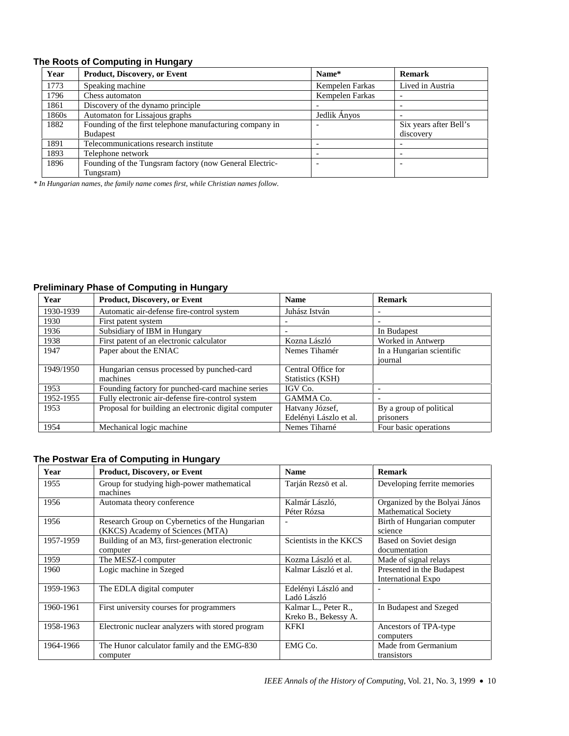# **The Roots of Computing in Hungary**

| Year  | <b>Product, Discovery, or Event</b>                      | Name*                    | <b>Remark</b>            |
|-------|----------------------------------------------------------|--------------------------|--------------------------|
| 1773  | Speaking machine                                         | Kempelen Farkas          | Lived in Austria         |
| 1796  | Chess automaton                                          | Kempelen Farkas          | $\overline{\phantom{0}}$ |
| 1861  | Discovery of the dynamo principle                        | $\overline{\phantom{a}}$ | $\overline{\phantom{0}}$ |
| 1860s | Automaton for Lissajous graphs                           | Jedlik Ányos             | $\overline{\phantom{a}}$ |
| 1882  | Founding of the first telephone manufacturing company in | $\overline{\phantom{0}}$ | Six years after Bell's   |
|       | <b>Budapest</b>                                          |                          | discovery                |
| 1891  | Telecommunications research institute                    | $\overline{\phantom{0}}$ |                          |
| 1893  | Telephone network                                        | $\overline{\phantom{a}}$ | $\overline{\phantom{a}}$ |
| 1896  | Founding of the Tungsram factory (now General Electric-  | $\overline{\phantom{0}}$ | -                        |
|       | Tungsram)                                                |                          |                          |

*\* In Hungarian names, the family name comes first, while Christian names follow.*

# **Preliminary Phase of Computing in Hungary**

| Year      | <b>Product, Discovery, or Event</b>                  | <b>Name</b>            | Remark                    |
|-----------|------------------------------------------------------|------------------------|---------------------------|
| 1930-1939 | Automatic air-defense fire-control system            | Juhász István          | $\overline{\phantom{0}}$  |
| 1930      | First patent system                                  |                        | $\overline{\phantom{0}}$  |
| 1936      | Subsidiary of IBM in Hungary                         |                        | In Budapest               |
| 1938      | First patent of an electronic calculator             | Kozna László           | Worked in Antwerp         |
| 1947      | Paper about the ENIAC                                | Nemes Tihamér          | In a Hungarian scientific |
|           |                                                      |                        | iournal                   |
| 1949/1950 | Hungarian census processed by punched-card           | Central Office for     |                           |
|           | machines                                             | Statistics (KSH)       |                           |
| 1953      | Founding factory for punched-card machine series     | IGV Co.                | $\overline{\phantom{a}}$  |
| 1952-1955 | Fully electronic air-defense fire-control system     | GAMMA Co.              |                           |
| 1953      | Proposal for building an electronic digital computer | Hatvany József,        | By a group of political   |
|           |                                                      | Edelényi Lászlo et al. | prisoners                 |
| 1954      | Mechanical logic machine                             | Nemes Tiharné          | Four basic operations     |

### **The Postwar Era of Computing in Hungary**

| Year      | Product, Discovery, or Event                                                       | <b>Name</b>                                  | <b>Remark</b>                                                |
|-----------|------------------------------------------------------------------------------------|----------------------------------------------|--------------------------------------------------------------|
| 1955      | Group for studying high-power mathematical<br>machines                             | Tarján Rezsö et al.                          | Developing ferrite memories                                  |
| 1956      | Automata theory conference                                                         | Kalmár László,<br>Péter Rózsa                | Organized by the Bolyai János<br><b>Mathematical Society</b> |
| 1956      | Research Group on Cybernetics of the Hungarian<br>(KKCS) Academy of Sciences (MTA) |                                              | Birth of Hungarian computer<br>science                       |
| 1957-1959 | Building of an M3, first-generation electronic<br>computer                         | Scientists in the KKCS                       | Based on Soviet design<br>documentation                      |
| 1959      | The MESZ-1 computer                                                                | Kozma László et al.                          | Made of signal relays                                        |
| 1960      | Logic machine in Szeged                                                            | Kalmar László et al.                         | Presented in the Budapest<br>International Expo              |
| 1959-1963 | The EDLA digital computer                                                          | Edelényi László and<br>Ladó László           |                                                              |
| 1960-1961 | First university courses for programmers                                           | Kalmar L., Peter R.,<br>Kreko B., Bekessy A. | In Budapest and Szeged                                       |
| 1958-1963 | Electronic nuclear analyzers with stored program                                   | <b>KFKI</b>                                  | Ancestors of TPA-type<br>computers                           |
| 1964-1966 | The Hunor calculator family and the EMG-830<br>computer                            | EMG Co.                                      | Made from Germanium<br>transistors                           |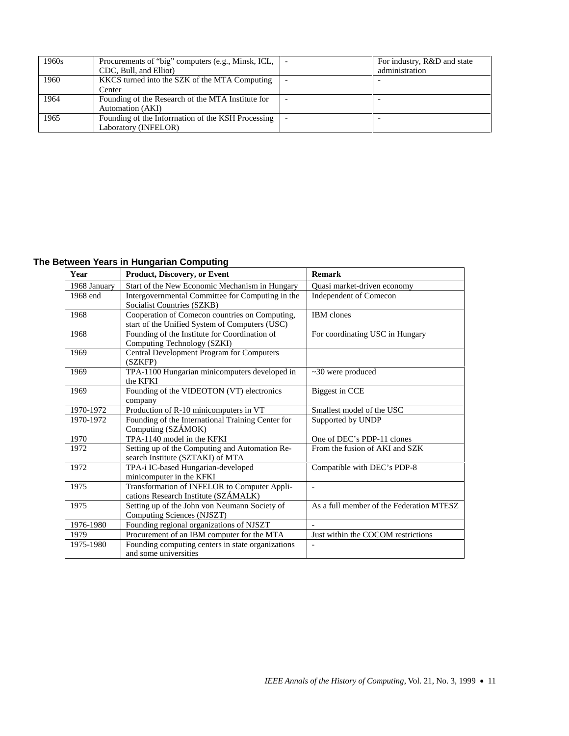| 1960s | Procurements of "big" computers (e.g., Minsk, ICL, | For industry, R&D and state |
|-------|----------------------------------------------------|-----------------------------|
|       | CDC, Bull, and Elliot)                             | administration              |
| 1960  | KKCS turned into the SZK of the MTA Computing      |                             |
|       | Center                                             |                             |
| 1964  | Founding of the Research of the MTA Institute for  |                             |
|       | Automation (AKI)                                   |                             |
| 1965  | Founding of the Information of the KSH Processing  |                             |
|       | Laboratory (INFELOR)                               |                             |

# **The Between Years in Hungarian Computing**

| Year         | Product, Discovery, or Event                                                                     | <b>Remark</b>                            |
|--------------|--------------------------------------------------------------------------------------------------|------------------------------------------|
| 1968 January | Start of the New Economic Mechanism in Hungary                                                   | Quasi market-driven economy              |
| 1968 end     | Intergovernmental Committee for Computing in the<br>Socialist Countries (SZKB)                   | Independent of Comecon                   |
| 1968         | Cooperation of Comecon countries on Computing,<br>start of the Unified System of Computers (USC) | <b>IBM</b> clones                        |
| 1968         | Founding of the Institute for Coordination of<br>Computing Technology (SZKI)                     | For coordinating USC in Hungary          |
| 1969         | Central Development Program for Computers<br>(SZKFP)                                             |                                          |
| 1969         | TPA-1100 Hungarian minicomputers developed in<br>the KFKI                                        | $\sim$ 30 were produced                  |
| 1969         | Founding of the VIDEOTON (VT) electronics<br>company                                             | Biggest in CCE                           |
| 1970-1972    | Production of R-10 minicomputers in VT                                                           | Smallest model of the USC                |
| 1970-1972    | Founding of the International Training Center for<br>Computing (SZÁMOK)                          | Supported by UNDP                        |
| 1970         | TPA-1140 model in the KFKI                                                                       | One of DEC's PDP-11 clones               |
| 1972         | Setting up of the Computing and Automation Re-<br>search Institute (SZTAKI) of MTA               | From the fusion of AKI and SZK           |
| 1972         | TPA-i IC-based Hungarian-developed<br>minicomputer in the KFKI                                   | Compatible with DEC's PDP-8              |
| 1975         | Transformation of INFELOR to Computer Appli-<br>cations Research Institute (SZÁMALK)             | $\overline{\phantom{a}}$                 |
| 1975         | Setting up of the John von Neumann Society of<br>Computing Sciences (NJSZT)                      | As a full member of the Federation MTESZ |
| 1976-1980    | Founding regional organizations of NJSZT                                                         |                                          |
| 1979         | Procurement of an IBM computer for the MTA                                                       | Just within the COCOM restrictions       |
| 1975-1980    | Founding computing centers in state organizations<br>and some universities                       |                                          |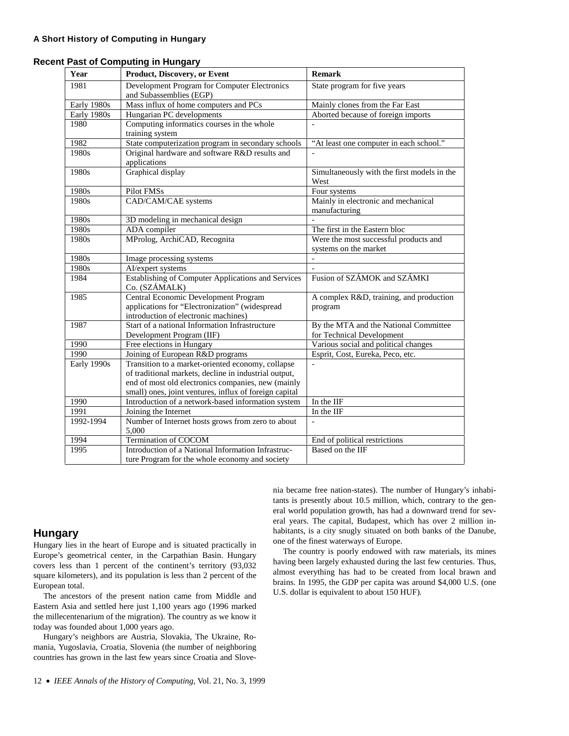| Year        | Product, Discovery, or Event                                            | <b>Remark</b>                                        |
|-------------|-------------------------------------------------------------------------|------------------------------------------------------|
| 1981        | Development Program for Computer Electronics<br>and Subassemblies (EGP) | State program for five years                         |
| Early 1980s | Mass influx of home computers and PCs                                   | Mainly clones from the Far East                      |
| Early 1980s | Hungarian PC developments                                               | Aborted because of foreign imports                   |
| 1980        | Computing informatics courses in the whole                              |                                                      |
|             | training system                                                         |                                                      |
| 1982        | State computerization program in secondary schools                      | "At least one computer in each school."              |
| 1980s       | Original hardware and software R&D results and<br>applications          |                                                      |
| 1980s       | Graphical display                                                       | Simultaneously with the first models in the<br>West  |
| 1980s       | Pilot FMSs                                                              | Four systems                                         |
| 1980s       | CAD/CAM/CAE systems                                                     | Mainly in electronic and mechanical<br>manufacturing |
| 1980s       | 3D modeling in mechanical design                                        |                                                      |
| 1980s       | ADA compiler                                                            | The first in the Eastern bloc                        |
| 1980s       | MProlog, ArchiCAD, Recognita                                            | Were the most successful products and                |
|             |                                                                         | systems on the market                                |
| 1980s       | Image processing systems                                                | $\qquad \qquad -$                                    |
| 1980s       | AI/expert systems                                                       |                                                      |
| 1984        | <b>Establishing of Computer Applications and Services</b>               | Fusion of SZÁMOK and SZÁMKI                          |
|             | Co. (SZÁMALK)                                                           |                                                      |
| 1985        | Central Economic Development Program                                    | A complex R&D, training, and production              |
|             | applications for "Electronization" (widespread                          | program                                              |
|             | introduction of electronic machines)                                    |                                                      |
| 1987        | Start of a national Information Infrastructure                          | By the MTA and the National Committee                |
|             | Development Program (IIF)                                               | for Technical Development                            |
| 1990        | Free elections in Hungary                                               | Various social and political changes                 |
| 1990        | Joining of European R&D programs                                        | Esprit, Cost, Eureka, Peco, etc.                     |
| Early 1990s | Transition to a market-oriented economy, collapse                       | $\overline{a}$                                       |
|             | of traditional markets, decline in industrial output,                   |                                                      |
|             | end of most old electronics companies, new (mainly                      |                                                      |
|             | small) ones, joint ventures, influx of foreign capital                  |                                                      |
| 1990        | Introduction of a network-based information system                      | In the IIF                                           |
| 1991        | Joining the Internet                                                    | In the IIF                                           |
| 1992-1994   | Number of Internet hosts grows from zero to about<br>5.000              |                                                      |
| 1994        | Termination of COCOM                                                    | End of political restrictions                        |
| 1995        | Introduction of a National Information Infrastruc-                      | Based on the IIF                                     |
|             | ture Program for the whole economy and society                          |                                                      |

#### **Recent Past of Computing in Hungary**

### **Hungary**

Hungary lies in the heart of Europe and is situated practically in Europe's geometrical center, in the Carpathian Basin. Hungary covers less than 1 percent of the continent's territory (93,032 square kilometers), and its population is less than 2 percent of the European total.

The ancestors of the present nation came from Middle and Eastern Asia and settled here just 1,100 years ago (1996 marked the millecentenarium of the migration). The country as we know it today was founded about 1,000 years ago.

Hungary's neighbors are Austria, Slovakia, The Ukraine, Romania, Yugoslavia, Croatia, Slovenia (the number of neighboring countries has grown in the last few years since Croatia and Slove-

nia became free nation-states). The number of Hungary's inhabitants is presently about 10.5 million, which, contrary to the general world population growth, has had a downward trend for several years. The capital, Budapest, which has over 2 million inhabitants, is a city snugly situated on both banks of the Danube, one of the finest waterways of Europe.

The country is poorly endowed with raw materials, its mines having been largely exhausted during the last few centuries. Thus, almost everything has had to be created from local brawn and brains. In 1995, the GDP per capita was around \$4,000 U.S. (one U.S. dollar is equivalent to about 150 HUF).